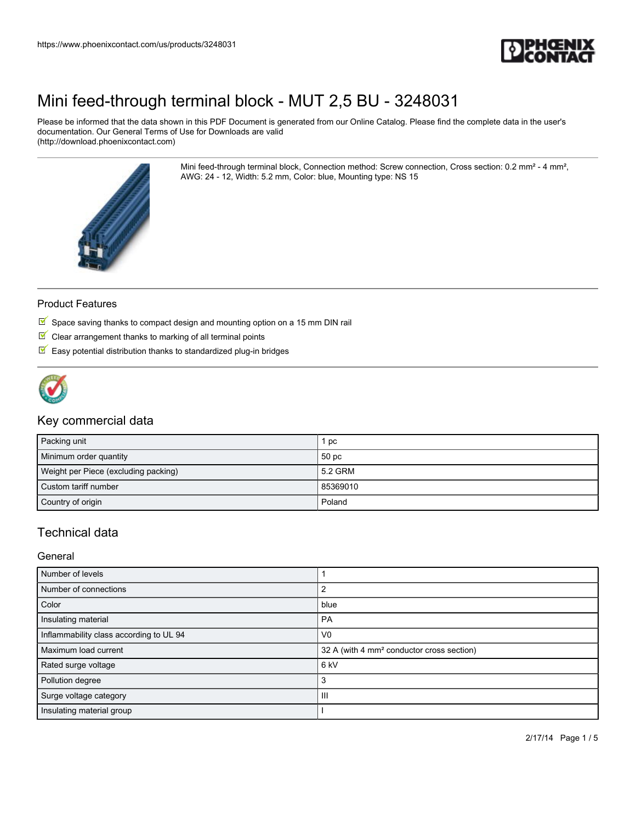

Please be informed that the data shown in this PDF Document is generated from our Online Catalog. Please find the complete data in the user's documentation. Our General Terms of Use for Downloads are valid (http://download.phoenixcontact.com)

> Mini feed-through terminal block, Connection method: Screw connection, Cross section: 0.2 mm² - 4 mm², AWG: 24 - 12, Width: 5.2 mm, Color: blue, Mounting type: NS 15



#### Product Features

- $\overline{\mathbb{M}}$  Space saving thanks to compact design and mounting option on a 15 mm DIN rail
- $\blacksquare$  Clear arrangement thanks to marking of all terminal points
- $\blacksquare$  Easy potential distribution thanks to standardized plug-in bridges



#### Key commercial data

| Packing unit                         | рc               |
|--------------------------------------|------------------|
| Minimum order quantity               | 50 <sub>pc</sub> |
| Weight per Piece (excluding packing) | 5.2 GRM          |
| Custom tariff number                 | 85369010         |
| Country of origin                    | Poland           |

### Technical data

General

| Number of levels                        |                                                       |
|-----------------------------------------|-------------------------------------------------------|
| Number of connections                   |                                                       |
| Color                                   | blue                                                  |
| Insulating material                     | PA                                                    |
| Inflammability class according to UL 94 | V <sub>0</sub>                                        |
| Maximum load current                    | 32 A (with 4 mm <sup>2</sup> conductor cross section) |
| Rated surge voltage                     | 6 kV                                                  |
| Pollution degree                        | 3                                                     |
| Surge voltage category                  | Ш                                                     |
| Insulating material group               |                                                       |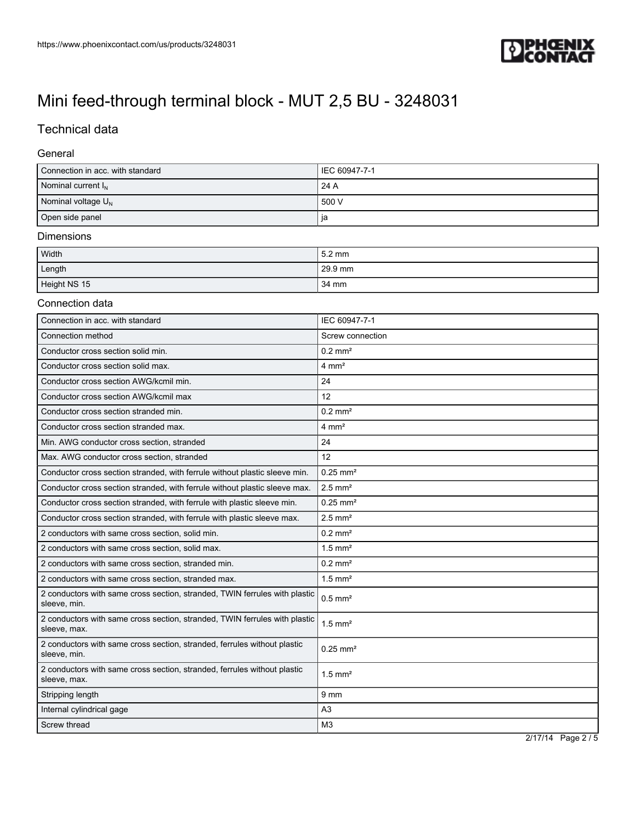

# Technical data

#### General

| Connection in acc. with standard | I IEC 60947-7-1 |
|----------------------------------|-----------------|
| Nominal current $I_N$            | 24A             |
| Nominal voltage $U_N$            | 500 V           |
| Open side panel                  | ja              |

#### Dimensions

| Width        | l 5.2 mm  |
|--------------|-----------|
| Length       | $29.9$ mm |
| Height NS 15 | 34 mm     |

#### Connection data

| Connection in acc. with standard                                                           | IEC 60947-7-1          |
|--------------------------------------------------------------------------------------------|------------------------|
| Connection method                                                                          | Screw connection       |
| Conductor cross section solid min.                                                         | $0.2$ mm <sup>2</sup>  |
| Conductor cross section solid max.                                                         | $4 \text{ mm}^2$       |
| Conductor cross section AWG/kcmil min.                                                     | 24                     |
| Conductor cross section AWG/kcmil max                                                      | 12                     |
| Conductor cross section stranded min.                                                      | $0.2$ mm <sup>2</sup>  |
| Conductor cross section stranded max.                                                      | $4 \text{ mm}^2$       |
| Min. AWG conductor cross section, stranded                                                 | 24                     |
| Max. AWG conductor cross section, stranded                                                 | 12                     |
| Conductor cross section stranded, with ferrule without plastic sleeve min.                 | $0.25$ mm <sup>2</sup> |
| Conductor cross section stranded, with ferrule without plastic sleeve max.                 | $2.5$ mm <sup>2</sup>  |
| Conductor cross section stranded, with ferrule with plastic sleeve min.                    | $0.25$ mm <sup>2</sup> |
| Conductor cross section stranded, with ferrule with plastic sleeve max.                    | $2.5$ mm <sup>2</sup>  |
| 2 conductors with same cross section, solid min.                                           | $0.2$ mm <sup>2</sup>  |
| 2 conductors with same cross section, solid max.                                           | $1.5$ mm <sup>2</sup>  |
| 2 conductors with same cross section, stranded min.                                        | $0.2$ mm <sup>2</sup>  |
| 2 conductors with same cross section, stranded max.                                        | $1.5$ mm <sup>2</sup>  |
| 2 conductors with same cross section, stranded, TWIN ferrules with plastic<br>sleeve, min. | $0.5$ mm <sup>2</sup>  |
| 2 conductors with same cross section, stranded, TWIN ferrules with plastic<br>sleeve, max. | $1.5$ mm <sup>2</sup>  |
| 2 conductors with same cross section, stranded, ferrules without plastic<br>sleeve, min.   | $0.25$ mm <sup>2</sup> |
| 2 conductors with same cross section, stranded, ferrules without plastic<br>sleeve, max.   | $1.5$ mm <sup>2</sup>  |
| Stripping length                                                                           | 9 <sub>mm</sub>        |
| Internal cylindrical gage                                                                  | A <sub>3</sub>         |
| Screw thread                                                                               | M <sub>3</sub>         |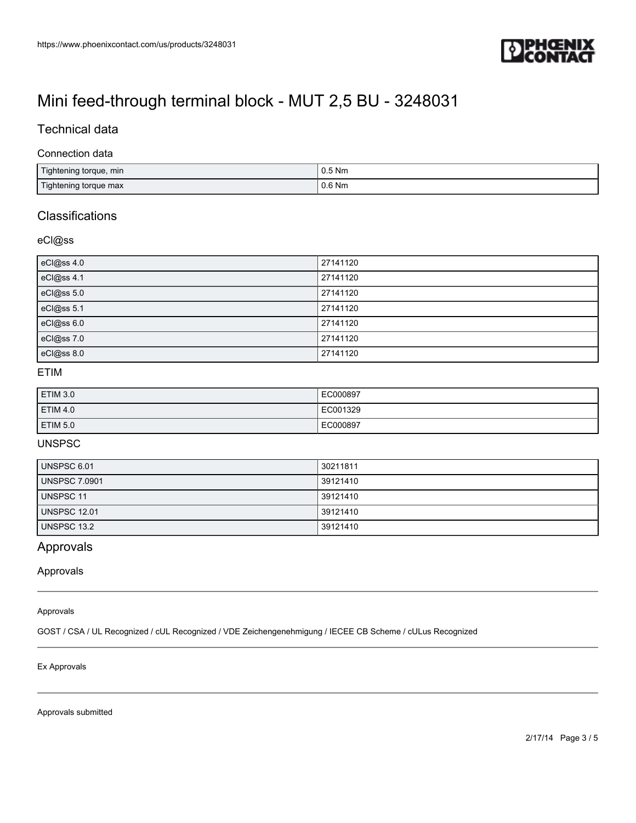

### Technical data

#### Connection data

| Tightening torque, min | 0.5 Nm   |
|------------------------|----------|
| Tightening torque max  | $0.6$ Nm |

## **Classifications**

#### eCl@ss

| eCl@ss 4.0 | 27141120 |
|------------|----------|
| eCl@ss 4.1 | 27141120 |
| eCl@ss 5.0 | 27141120 |
| eCl@ss 5.1 | 27141120 |
| eCl@ss 6.0 | 27141120 |
| eCl@ss 7.0 | 27141120 |
| eCl@ss 8.0 | 27141120 |

### ETIM

| <b>ETIM 3.0</b> | EC000897 |
|-----------------|----------|
| ETIM 4.0        | EC001329 |
| ETIM 5.0        | EC000897 |

## UNSPSC

| UNSPSC 6.01          | 30211811 |
|----------------------|----------|
| <b>UNSPSC 7.0901</b> | 39121410 |
| <b>UNSPSC 11</b>     | 39121410 |
| <b>UNSPSC 12.01</b>  | 39121410 |
| UNSPSC 13.2          | 39121410 |

## Approvals

Approvals

#### Approvals

GOST / CSA / UL Recognized / cUL Recognized / VDE Zeichengenehmigung / IECEE CB Scheme / cULus Recognized

#### Ex Approvals

Approvals submitted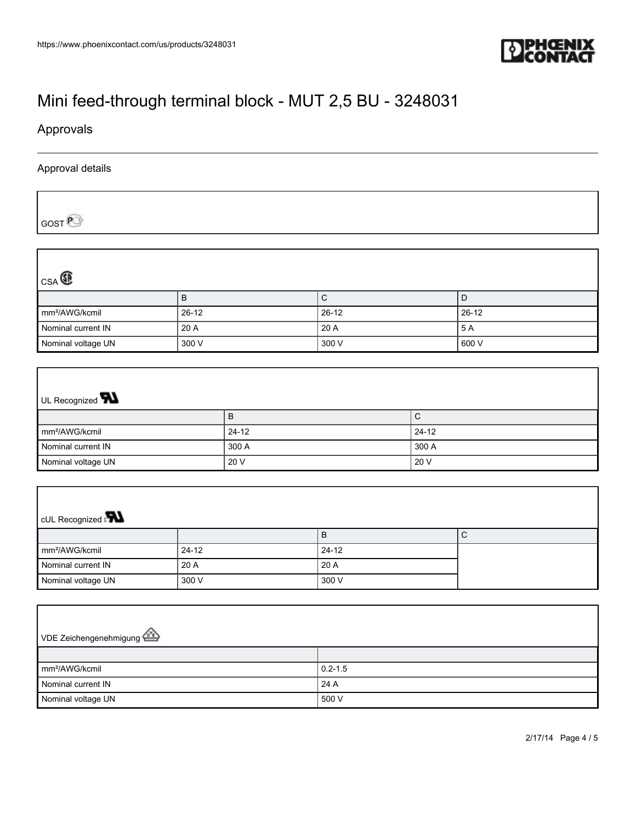

Approvals

#### Approval details

GOST<sup>P</sup>

| $_{CSA}$                   |         |         |         |
|----------------------------|---------|---------|---------|
|                            | в       | С       |         |
| mm <sup>2</sup> /AWG/kcmil | $26-12$ | $26-12$ | $26-12$ |
| Nominal current IN         | 20 A    | 20A     | 5 A     |
| Nominal voltage UN         | 300 V   | 300 V   | 600 V   |

# UL Recognized **W** B C mm²/AWG/kcmil 24-12 24-12 Nominal current IN 300 A 300 A 300 A Nominal voltage UN 20 V 20 V 20 V 20 V

| <b>CUL Recognized</b>      |           |         |   |
|----------------------------|-----------|---------|---|
|                            |           | B       | ◡ |
| mm <sup>2</sup> /AWG/kcmil | $24 - 12$ | $24-12$ |   |
| Nominal current IN         | 20 A      | 20A     |   |
| Nominal voltage UN         | 300 V     | 300 V   |   |

| VDE Zeichengenehmigung     |             |  |
|----------------------------|-------------|--|
|                            |             |  |
| mm <sup>2</sup> /AWG/kcmil | $0.2 - 1.5$ |  |
| Nominal current IN         | 24 A        |  |
| Nominal voltage UN         | 500 V       |  |